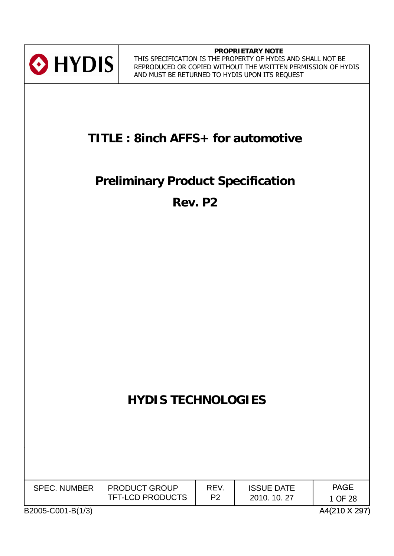

**PROPRIETARY NOTE** THIS SPECIFICATION IS THE PROPERTY OF HYDIS AND SHALL NOT BE REPRODUCED OR COPIED WITHOUT THE WRITTEN PERMISSION OF HYDIS AND MUST BE RETURNED TO HYDIS UPON ITS REQUEST

## **TITLE : 8inch AFFS+ for automotive**

# **Preliminary Product Specification**

**Rev. P2**

# **HYDIS TECHNOLOGIES**

| <b>PAGE</b>                                                          |                     |                      |      |                   |  |
|----------------------------------------------------------------------|---------------------|----------------------|------|-------------------|--|
| P <sub>2</sub><br><b>TFT-LCD PRODUCTS</b><br>2010. 10. 27<br>1 OF 28 | <b>SPEC. NUMBER</b> | <b>PRODUCT GROUP</b> | REV. | <b>ISSUE DATE</b> |  |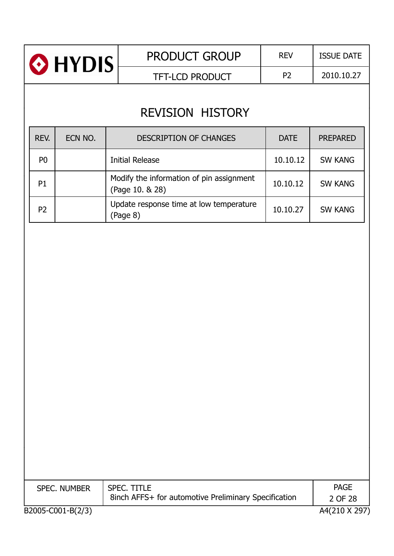| HYDIS <sup>®</sup> |                     | PRODUCT GROUP                                                       | <b>REV</b>     | <b>ISSUE DATE</b>      |
|--------------------|---------------------|---------------------------------------------------------------------|----------------|------------------------|
|                    |                     | <b>TFT-LCD PRODUCT</b>                                              | P <sub>2</sub> | 2010.10.27             |
|                    |                     | <b>REVISION HISTORY</b>                                             |                |                        |
| REV.               | ECN NO.             | <b>DESCRIPTION OF CHANGES</b>                                       | <b>DATE</b>    | <b>PREPARED</b>        |
| P <sub>0</sub>     |                     | <b>Initial Release</b>                                              | 10.10.12       | <b>SW KANG</b>         |
| P <sub>1</sub>     |                     | Modify the information of pin assignment<br>(Page 10. & 28)         | 10.10.12       | <b>SW KANG</b>         |
| P <sub>2</sub>     |                     | Update response time at low temperature<br>(Page 8)                 | 10.10.27       | <b>SW KANG</b>         |
|                    |                     |                                                                     |                |                        |
|                    | <b>SPEC. NUMBER</b> | SPEC. TITLE<br>8inch AFFS+ for automotive Preliminary Specification |                | <b>PAGE</b><br>2 OF 28 |
|                    | B2005-C001-B(2/3)   |                                                                     |                | A4(210 X 297)          |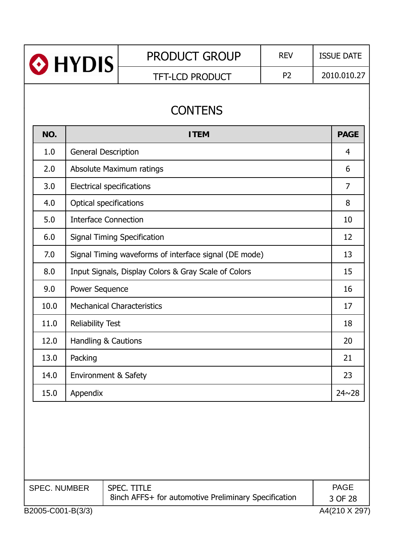| <b>PRODUCT GROUP</b><br><b>ISSUE DATE</b><br><b>REV</b><br>HYDIS<br>P <sub>2</sub><br><b>TFT-LCD PRODUCT</b><br><b>CONTENS</b><br>NO.<br><b>ITEM</b><br>1.0<br><b>General Description</b><br>$\overline{4}$<br>2.0<br>Absolute Maximum ratings<br>6<br>$\overline{7}$<br>3.0<br><b>Electrical specifications</b><br>4.0<br><b>Optical specifications</b><br>8<br>5.0<br><b>Interface Connection</b><br>10<br>6.0<br><b>Signal Timing Specification</b><br>12<br>7.0<br>Signal Timing waveforms of interface signal (DE mode)<br>13<br>8.0<br>15<br>Input Signals, Display Colors & Gray Scale of Colors<br>9.0<br>Power Sequence<br>16<br>10.0<br><b>Mechanical Characteristics</b><br>17<br>11.0<br><b>Reliability Test</b><br>18<br>12.0<br>Handling & Cautions<br>20<br>13.0<br>Packing<br>21<br>14.0<br><b>Environment &amp; Safety</b> |  |  |  |  |  |  |               |  |  |
|---------------------------------------------------------------------------------------------------------------------------------------------------------------------------------------------------------------------------------------------------------------------------------------------------------------------------------------------------------------------------------------------------------------------------------------------------------------------------------------------------------------------------------------------------------------------------------------------------------------------------------------------------------------------------------------------------------------------------------------------------------------------------------------------------------------------------------------------|--|--|--|--|--|--|---------------|--|--|
|                                                                                                                                                                                                                                                                                                                                                                                                                                                                                                                                                                                                                                                                                                                                                                                                                                             |  |  |  |  |  |  |               |  |  |
|                                                                                                                                                                                                                                                                                                                                                                                                                                                                                                                                                                                                                                                                                                                                                                                                                                             |  |  |  |  |  |  | 2010.010.27   |  |  |
|                                                                                                                                                                                                                                                                                                                                                                                                                                                                                                                                                                                                                                                                                                                                                                                                                                             |  |  |  |  |  |  |               |  |  |
|                                                                                                                                                                                                                                                                                                                                                                                                                                                                                                                                                                                                                                                                                                                                                                                                                                             |  |  |  |  |  |  |               |  |  |
|                                                                                                                                                                                                                                                                                                                                                                                                                                                                                                                                                                                                                                                                                                                                                                                                                                             |  |  |  |  |  |  | <b>PAGE</b>   |  |  |
|                                                                                                                                                                                                                                                                                                                                                                                                                                                                                                                                                                                                                                                                                                                                                                                                                                             |  |  |  |  |  |  |               |  |  |
|                                                                                                                                                                                                                                                                                                                                                                                                                                                                                                                                                                                                                                                                                                                                                                                                                                             |  |  |  |  |  |  |               |  |  |
|                                                                                                                                                                                                                                                                                                                                                                                                                                                                                                                                                                                                                                                                                                                                                                                                                                             |  |  |  |  |  |  |               |  |  |
|                                                                                                                                                                                                                                                                                                                                                                                                                                                                                                                                                                                                                                                                                                                                                                                                                                             |  |  |  |  |  |  |               |  |  |
|                                                                                                                                                                                                                                                                                                                                                                                                                                                                                                                                                                                                                                                                                                                                                                                                                                             |  |  |  |  |  |  |               |  |  |
|                                                                                                                                                                                                                                                                                                                                                                                                                                                                                                                                                                                                                                                                                                                                                                                                                                             |  |  |  |  |  |  |               |  |  |
|                                                                                                                                                                                                                                                                                                                                                                                                                                                                                                                                                                                                                                                                                                                                                                                                                                             |  |  |  |  |  |  |               |  |  |
|                                                                                                                                                                                                                                                                                                                                                                                                                                                                                                                                                                                                                                                                                                                                                                                                                                             |  |  |  |  |  |  |               |  |  |
|                                                                                                                                                                                                                                                                                                                                                                                                                                                                                                                                                                                                                                                                                                                                                                                                                                             |  |  |  |  |  |  |               |  |  |
|                                                                                                                                                                                                                                                                                                                                                                                                                                                                                                                                                                                                                                                                                                                                                                                                                                             |  |  |  |  |  |  |               |  |  |
|                                                                                                                                                                                                                                                                                                                                                                                                                                                                                                                                                                                                                                                                                                                                                                                                                                             |  |  |  |  |  |  |               |  |  |
|                                                                                                                                                                                                                                                                                                                                                                                                                                                                                                                                                                                                                                                                                                                                                                                                                                             |  |  |  |  |  |  |               |  |  |
|                                                                                                                                                                                                                                                                                                                                                                                                                                                                                                                                                                                                                                                                                                                                                                                                                                             |  |  |  |  |  |  |               |  |  |
|                                                                                                                                                                                                                                                                                                                                                                                                                                                                                                                                                                                                                                                                                                                                                                                                                                             |  |  |  |  |  |  | 23            |  |  |
| 15.0<br>Appendix                                                                                                                                                                                                                                                                                                                                                                                                                                                                                                                                                                                                                                                                                                                                                                                                                            |  |  |  |  |  |  | $24 \sim 28$  |  |  |
|                                                                                                                                                                                                                                                                                                                                                                                                                                                                                                                                                                                                                                                                                                                                                                                                                                             |  |  |  |  |  |  |               |  |  |
|                                                                                                                                                                                                                                                                                                                                                                                                                                                                                                                                                                                                                                                                                                                                                                                                                                             |  |  |  |  |  |  | <b>PAGE</b>   |  |  |
| SPEC. TITLE<br><b>SPEC. NUMBER</b>                                                                                                                                                                                                                                                                                                                                                                                                                                                                                                                                                                                                                                                                                                                                                                                                          |  |  |  |  |  |  | 3 OF 28       |  |  |
| 8inch AFFS+ for automotive Preliminary Specification<br>B2005-C001-B(3/3)                                                                                                                                                                                                                                                                                                                                                                                                                                                                                                                                                                                                                                                                                                                                                                   |  |  |  |  |  |  | A4(210 X 297) |  |  |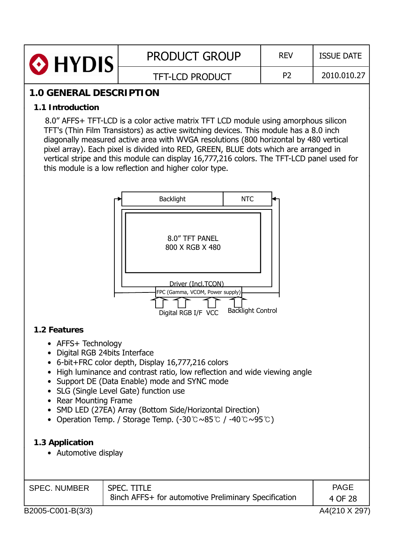| <b>O</b> HYDIS | <b>PRODUCT GROUP</b>   | <b>REV</b> | <b>ISSUE DATE</b> |
|----------------|------------------------|------------|-------------------|
|                | <b>TFT-LCD PRODUCT</b> | P7         | 2010.010.27       |

## **1.0 GENERAL DESCRIPTION**

#### **1 1 Introduction 1.1 Introduction**

8.0" AFFS+ TFT-LCD is a color active matrix TFT LCD module using amorphous silicon TFT's (Thin Film Transistors) as active switching devices. This module has a 8.0 inch diagonally measured active area with WVGA resolutions (800 horizontal by 480 vertical pixel array). Each pixel is divided into RED, GREEN, BLUE dots which are arranged in vertical stripe and this module can display 16,777,216 colors. The TFT-LCD panel used for this module is a low reflection and higher color type.



#### **1.2 Features**

- AFFS+ Technology
- Digital RGB 24bits Interface
- 6-bit+FRC color depth, Display 16,777,216 colors
- High luminance and contrast ratio, low reflection and wide viewing angle
- Support DE (Data Enable) mode and SYNC mode
- SLG (Single Level Gate) function use
- Rear Mounting Frame
- SMD LED (27EA) Array (Bottom Side/Horizontal Direction)
- Operation Temp. / Storage Temp. (-30℃~85℃ / -40℃~95℃)

#### **1.3 Application**

• Automotive display

| <b>SPEC. NUMBER</b> | <b>SPEC. TITLE</b><br>8inch AFFS+ for automotive Preliminary Specification | <b>PAGE</b><br>4 OF 28 |
|---------------------|----------------------------------------------------------------------------|------------------------|
| B2005-C001-B(3/3)   |                                                                            | A4(210 X 297)          |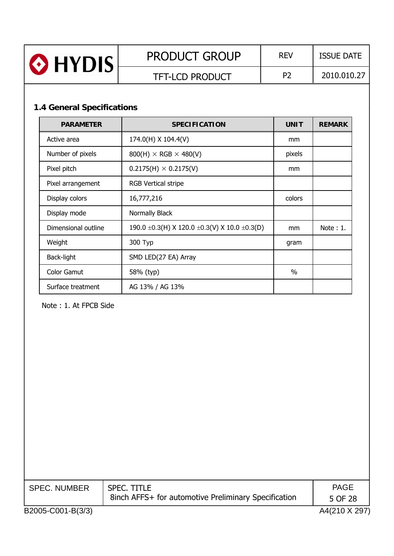| <b>O</b> HYDIS | <b>PRODUCT GROUP</b>   | <b>REV</b>     | <b>ISSUE DATE</b> |
|----------------|------------------------|----------------|-------------------|
|                | <b>TFT-LCD PRODUCT</b> | P <sub>2</sub> | 2010.010.27       |
|                |                        |                |                   |

## **1 4 General Specifications 1.4 General**

| <b>PARAMETER</b>    | <b>SPECIFICATION</b>                                        | <b>UNIT</b> | <b>REMARK</b> |
|---------------------|-------------------------------------------------------------|-------------|---------------|
| Active area         | 174.0(H) X 104.4(V)                                         | mm          |               |
| Number of pixels    | $800(H) \times RGB \times 480(V)$                           | pixels      |               |
| Pixel pitch         | $0.2175(H) \times 0.2175(V)$                                | mm          |               |
| Pixel arrangement   | <b>RGB Vertical stripe</b>                                  |             |               |
| Display colors      | 16,777,216                                                  | colors      |               |
| Display mode        | Normally Black                                              |             |               |
| Dimensional outline | 190.0 $\pm$ 0.3(H) X 120.0 $\pm$ 0.3(V) X 10.0 $\pm$ 0.3(D) | mm          | Note $: 1$ .  |
| Weight              | 300 Typ                                                     | gram        |               |
| Back-light          | SMD LED(27 EA) Array                                        |             |               |
| <b>Color Gamut</b>  | 58% (typ)                                                   | $\%$        |               |
| Surface treatment   | AG 13% / AG 13%                                             |             |               |

Note : 1. At FPCB Side

| <b>SPEC. NUMBER</b> | SPEC. TITLE<br>8inch AFFS+ for automotive Preliminary Specification | <b>PAGE</b><br>5 OF 28 |
|---------------------|---------------------------------------------------------------------|------------------------|
| B2005-C001-B(3/3)   |                                                                     | A4(210 X 297)          |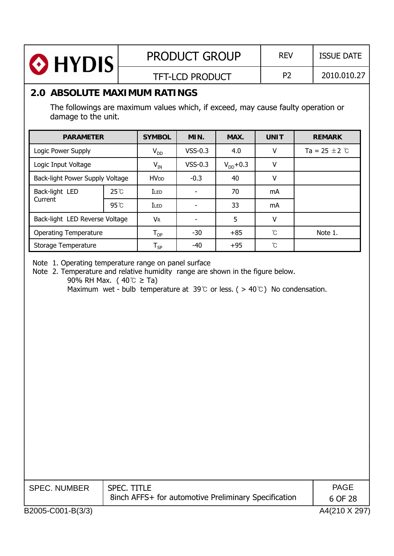| HYDIS                                                                                                                                                                                                                                                                     |  |                      | <b>PRODUCT GROUP</b>     |               | <b>REV</b>           |  | <b>ISSUE DATE</b>           |  |
|---------------------------------------------------------------------------------------------------------------------------------------------------------------------------------------------------------------------------------------------------------------------------|--|----------------------|--------------------------|---------------|----------------------|--|-----------------------------|--|
|                                                                                                                                                                                                                                                                           |  |                      | <b>TFT-LCD PRODUCT</b>   |               | P <sub>2</sub>       |  | 2010.010.27                 |  |
| <b>2.0 ABSOLUTE MAXIMUM RATINGS</b>                                                                                                                                                                                                                                       |  |                      |                          |               |                      |  |                             |  |
| The followings are maximum values which, if exceed, may cause faulty operation or<br>damage to the unit.                                                                                                                                                                  |  |                      |                          |               |                      |  |                             |  |
| <b>SYMBOL</b><br>MIN.<br>MAX.<br><b>UNIT</b><br><b>PARAMETER</b><br><b>REMARK</b>                                                                                                                                                                                         |  |                      |                          |               |                      |  |                             |  |
| Logic Power Supply                                                                                                                                                                                                                                                        |  | $V_{DD}$             | $VSS-0.3$                | 4.0           | $\vee$               |  | Ta = 25 $\pm$ 2 $\degree$ C |  |
| Logic Input Voltage                                                                                                                                                                                                                                                       |  | $V_{IN}$             | $VSS-0.3$                | $V_{DD}$ +0.3 | $\vee$               |  |                             |  |
| Back-light Power Supply Voltage                                                                                                                                                                                                                                           |  | <b>HVDD</b>          | $-0.3$                   | 40            | $\vee$               |  |                             |  |
| Back-light LED<br>$25^{\circ}$ C<br>Current<br>$95^{\circ}$                                                                                                                                                                                                               |  | ILED                 | $\overline{a}$           | 70            | mA                   |  |                             |  |
|                                                                                                                                                                                                                                                                           |  | ILED                 | $\overline{\phantom{a}}$ | 33            | mA                   |  |                             |  |
| Back-light LED Reverse Voltage                                                                                                                                                                                                                                            |  | <b>V<sub>R</sub></b> | $\overline{\phantom{a}}$ | 5             | V                    |  |                             |  |
| <b>Operating Temperature</b>                                                                                                                                                                                                                                              |  | $T_{OP}$             | $-30$                    | $+85$         | $\mathrm{C}^{\circ}$ |  | Note 1.                     |  |
| <b>Storage Temperature</b>                                                                                                                                                                                                                                                |  | $T_{SP}$             | $-40$                    | $+95$         | $\mathrm{C}^{\circ}$ |  |                             |  |
| Note 1. Operating temperature range on panel surface<br>Note 2. Temperature and relative humidity range are shown in the figure below.<br>90% RH Max. $(40^{\circ}\text{C} \geq \text{Ta})$<br>Maximum wet - bulb temperature at 39°C or less. ( > 40°C) No condensation. |  |                      |                          |               |                      |  |                             |  |

| <b>SPEC. NUMBER</b> | <b>SPEC. TITLE</b><br>8inch AFFS+ for automotive Preliminary Specification | <b>PAGE</b><br>6 OF 28 |
|---------------------|----------------------------------------------------------------------------|------------------------|
| B2005-C001-B(3/3)   |                                                                            | A4(210 X 297)          |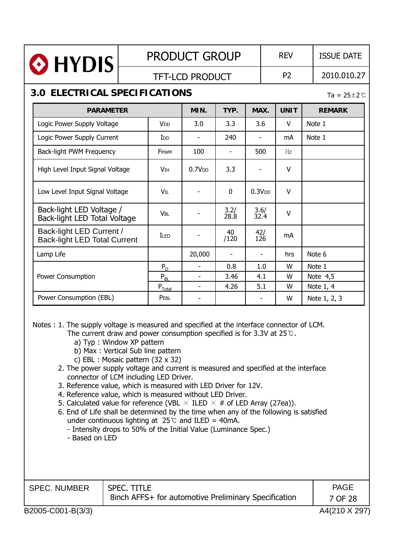| HYDIS                                                           |  | <b>PRODUCT GROUP</b>          |                          |                          | <b>REV</b>         | <b>ISSUE DATE</b> |                           |
|-----------------------------------------------------------------|--|-------------------------------|--------------------------|--------------------------|--------------------|-------------------|---------------------------|
|                                                                 |  |                               | <b>TFT-LCD PRODUCT</b>   |                          |                    | P <sub>2</sub>    | 2010.010.27               |
| <b>3.0 ELECTRICAL SPECIFICATIONS</b>                            |  |                               |                          |                          |                    |                   | Ta = $25 \pm 2^{\circ}$ C |
| <b>PARAMETER</b>                                                |  | MIN.                          | TYP.                     | MAX.                     | <b>UNIT</b>        | <b>REMARK</b>     |                           |
| Logic Power Supply Voltage                                      |  | V <sub>DD</sub>               | 3.0                      | 3.3                      | 3.6                | $\vee$            | Note 1                    |
| Logic Power Supply Current                                      |  | I <sub>DD</sub>               |                          | 240                      | $\blacksquare$     | mA                | Note 1                    |
| Back-light PWM Frequency                                        |  | FPWM                          | 100                      | $\overline{\phantom{a}}$ | 500                | Hz                |                           |
| High Level Input Signal Voltage                                 |  | <b>V<sub>IH</sub></b>         | 0.7V <sub>DD</sub>       | 3.3                      |                    | $\vee$            |                           |
| Low Level Input Signal Voltage                                  |  | Vīl                           |                          | $\Omega$                 | 0.3V <sub>DD</sub> | $\vee$            |                           |
| Back-light LED Voltage /<br>Back-light LED Total Voltage        |  | <b>V<sub>BL</sub></b>         |                          | $\frac{3.2}{28.8}$       | 3.6/<br>32.4       | $\vee$            |                           |
| Back-light LED Current /<br><b>Back-light LED Total Current</b> |  | ILED                          |                          | 40<br>/120               | 42/<br>126         | mA                |                           |
| Lamp Life                                                       |  |                               | 20,000                   |                          |                    | hrs               | Note 6                    |
|                                                                 |  | $P_D$                         |                          | 0.8                      | 1.0                | W                 | Note 1                    |
| Power Consumption                                               |  | $P_{BL}$                      | $\overline{\phantom{0}}$ | 3.46                     | 4.1                | W                 | Note 4,5                  |
|                                                                 |  | $\mathsf{P}_{\mathsf{Total}}$ | $\overline{\phantom{0}}$ | 4.26                     | 5.1                | W                 | Note 1, 4                 |
| Power Consumption (EBL)                                         |  | PEBL                          | -                        |                          |                    | W                 | Note 1, 2, 3              |

Notes : 1. The supply voltage is measured and specified at the interface connector of LCM.

The current draw and power consumption specified is for 3.3V at 25℃.

- a) Typ : Window XP pattern
- b) Max : Vertical Sub line pattern
- c) EBL : Mosaic pattern (32 x 32)
- 2. The power supply voltage and current is measured and specified at the interface connector of LCM including LED Driver.
- 3. Reference value, which is measured with LED Driver for 12V.
- 4. Reference value, which is measured without LED Driver.
- 5. Calculated value for reference (VBL  $\times$  ILED  $\times$  # of LED Array (27ea)).
- 6. End of Life shall be determined by the time when any of the following is satisfied under continuous lighting at  $25^{\circ}$  and ILED = 40mA.
	- Intensity drops to 50% of the Initial Value (Luminance Spec.)
	- Based on LED

| <b>SPEC. NUMBER</b> | <b>SPEC. TITLE</b>                                   | <b>PAGE</b> |
|---------------------|------------------------------------------------------|-------------|
|                     | 8inch AFFS+ for automotive Preliminary Specification | 7 OF 28     |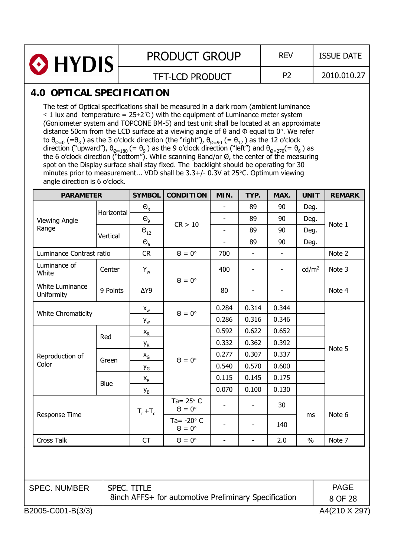| HYDIS | <b>PRODUCT GROUP</b>   | <b>REV</b> | <b>ISSUE DATE</b> |
|-------|------------------------|------------|-------------------|
|       | <b>TFT-LCD PRODUCT</b> | P7         | 2010.010.27       |

## **4.0 OPTICAL SPECIFICATION**

The test of Optical specifications shall be measured in a dark room (ambient luminance  $\leq$  1 lux and temperature = 25±2  $\degree$ ) with the equipment of Luminance meter system (Goniometer system and TOPCONE BM-5) and test unit shall be located at an approximate distance 50cm from the LCD surface at a viewing angle of  $\theta$  and  $\Phi$  equal to  $0^{\circ}$ . We refer to  $\theta_{\emptyset=0}$  (= $\theta_3$  ) as the 3 o'clock direction (the "right"),  $\theta_{\emptyset=90}$  (=  $\theta_{12}$  ) as the 12 o'clock direction ("upward"),  $\theta_{\varnothing=180}$  (=  $\theta_9$  ) as the 9 o'clock direction ("left") and  $\theta_{\varnothing=270} (= \theta_6$  ) as the 6 o'clock direction ("bottom"). While scanning θand/or Ø, the center of the measuring spot on the Display surface shall stay fixed. The backlight should be operating for 30 minutes prior to measurement... VDD shall be  $3.3+/$ - 0.3V at  $25^{\circ}$ C. Optimum viewing angle direction is 6 o'clock.

| <b>PARAMETER</b>                          |            | <b>SYMBOL</b>             | <b>CONDITION</b>                                     | MIN.                     | TYP.                         | MAX.                     | <b>UNIT</b>       | <b>REMARK</b> |  |
|-------------------------------------------|------------|---------------------------|------------------------------------------------------|--------------------------|------------------------------|--------------------------|-------------------|---------------|--|
|                                           |            | $\Theta_3$                |                                                      |                          | 89                           | 90                       | Deg.              |               |  |
| <b>Viewing Angle</b>                      | Horizontal | $\Theta_9$                | CR > 10                                              | $\frac{1}{2}$            | 89                           | 90                       | Deg.              |               |  |
| Range                                     |            | $\Theta_{\underline{12}}$ |                                                      | $\frac{1}{2}$            | 89                           | 90                       | Deg.              | Note 1        |  |
|                                           | Vertical   | $\Theta_6$                |                                                      | $\overline{\phantom{a}}$ | 89                           | 90                       | Deg.              |               |  |
| Luminance Contrast ratio                  |            | <b>CR</b>                 | $\Theta = 0^{\circ}$                                 | 700                      | $\overline{\phantom{a}}$     | $\overline{\phantom{a}}$ |                   | Note 2        |  |
| Luminance of<br>White                     | Center     |                           |                                                      | 400                      |                              |                          | cd/m <sup>2</sup> | Note 3        |  |
| White Luminance<br>Uniformity             | 9 Points   | ΔY9                       | $\Theta = 0^{\circ}$                                 | 80                       |                              |                          |                   | Note 4        |  |
|                                           |            | $X_{w}$                   | $\Theta=0^\circ$                                     | 0.284                    | 0.314                        | 0.344                    |                   |               |  |
| <b>White Chromaticity</b>                 |            | $Y_w$                     |                                                      | 0.286                    | 0.316                        | 0.346                    |                   |               |  |
|                                           |            | $\mathsf{X}_\mathsf{R}$   |                                                      | 0.592                    | 0.622                        | 0.652                    |                   |               |  |
|                                           | Red        | <b>Y</b> <sub>R</sub>     |                                                      | 0.332                    | 0.362                        | 0.392                    |                   |               |  |
| Reproduction of                           |            | $\mathsf{x}_{\mathsf{G}}$ | $\Theta = 0^{\circ}$                                 | 0.277                    | 0.307                        | 0.337                    |                   | Note 5        |  |
| Color                                     | Green      | Y <sub>G</sub>            |                                                      | 0.540                    | 0.570                        | 0.600                    |                   |               |  |
|                                           |            | $\mathsf{x}_{\mathsf{B}}$ |                                                      | 0.115                    | 0.145                        | 0.175                    |                   |               |  |
|                                           | Blue       | $Y_B$                     |                                                      | 0.070                    | 0.100                        | 0.130                    |                   |               |  |
| Response Time                             |            | $T_r + T_d$               | Ta= $25^\circ$ C<br>$\Theta = 0^{\circ}$             | $\overline{\phantom{a}}$ | $\qquad \qquad \blacksquare$ | 30                       |                   | Note 6        |  |
|                                           |            |                           | Ta= $-20^\circ$ C<br>$\Theta = 0^{\circ}$            | $\overline{a}$           |                              | 140                      | ms                |               |  |
| Cross Talk                                |            | CT                        | $\Theta = 0^{\circ}$                                 | $\blacksquare$           | $\overline{\phantom{a}}$     | 2.0                      | $\frac{0}{0}$     | Note 7        |  |
|                                           |            |                           |                                                      |                          |                              |                          |                   |               |  |
| <b>SPEC. TITLE</b><br><b>SPEC. NUMBER</b> |            |                           |                                                      |                          |                              |                          |                   |               |  |
|                                           |            |                           | 8inch AFFS+ for automotive Preliminary Specification |                          |                              |                          |                   | 8 OF 28       |  |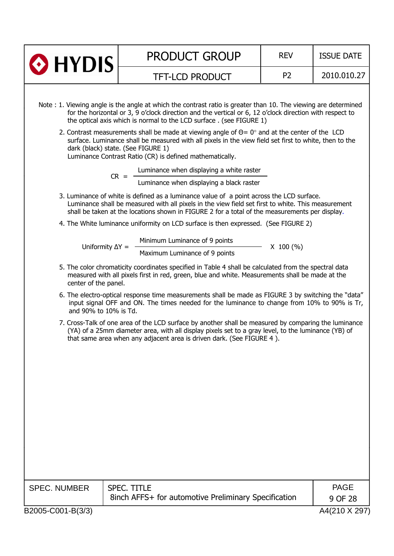| <b>D</b> HYDIS                                  | PRODUCT GROUP                                                                                                                                                                                                                                                                                                                                                                                                                                                                                                                                                                                                                                                                                                                                                                                                                                                                                                                                                                                                                                                                                                                                                                                                                                                                                                                                                                                                                                                                                                   | <b>REV</b>     | <b>ISSUE DATE</b> |
|-------------------------------------------------|-----------------------------------------------------------------------------------------------------------------------------------------------------------------------------------------------------------------------------------------------------------------------------------------------------------------------------------------------------------------------------------------------------------------------------------------------------------------------------------------------------------------------------------------------------------------------------------------------------------------------------------------------------------------------------------------------------------------------------------------------------------------------------------------------------------------------------------------------------------------------------------------------------------------------------------------------------------------------------------------------------------------------------------------------------------------------------------------------------------------------------------------------------------------------------------------------------------------------------------------------------------------------------------------------------------------------------------------------------------------------------------------------------------------------------------------------------------------------------------------------------------------|----------------|-------------------|
|                                                 | <b>TFT-LCD PRODUCT</b>                                                                                                                                                                                                                                                                                                                                                                                                                                                                                                                                                                                                                                                                                                                                                                                                                                                                                                                                                                                                                                                                                                                                                                                                                                                                                                                                                                                                                                                                                          | P <sub>2</sub> | 2010.010.27       |
| Uniformity $\Delta Y =$<br>center of the panel. | Note: 1. Viewing angle is the angle at which the contrast ratio is greater than 10. The viewing are determined<br>for the horizontal or 3, 9 o'clock direction and the vertical or 6, 12 o'clock direction with respect to<br>the optical axis which is normal to the LCD surface . (see FIGURE 1)<br>2. Contrast measurements shall be made at viewing angle of $\Theta = 0^\circ$ and at the center of the LCD<br>surface. Luminance shall be measured with all pixels in the view field set first to white, then to the<br>dark (black) state. (See FIGURE 1)<br>Luminance Contrast Ratio (CR) is defined mathematically.<br>Luminance when displaying a white raster<br>$CR = -$<br>Luminance when displaying a black raster<br>3. Luminance of white is defined as a luminance value of a point across the LCD surface.<br>Luminance shall be measured with all pixels in the view field set first to white. This measurement<br>shall be taken at the locations shown in FIGURE 2 for a total of the measurements per display.<br>4. The White luminance uniformity on LCD surface is then expressed. (See FIGURE 2)<br>Minimum Luminance of 9 points<br>Maximum Luminance of 9 points<br>5. The color chromaticity coordinates specified in Table 4 shall be calculated from the spectral data<br>measured with all pixels first in red, green, blue and white. Measurements shall be made at the<br>6. The electro-optical response time measurements shall be made as FIGURE 3 by switching the "data" | $X$ 100 (%)    |                   |
| and 90% to 10% is Td.                           | input signal OFF and ON. The times needed for the luminance to change from 10% to 90% is Tr,<br>7. Cross-Talk of one area of the LCD surface by another shall be measured by comparing the luminance<br>(YA) of a 25mm diameter area, with all display pixels set to a gray level, to the luminance (YB) of<br>that same area when any adjacent area is driven dark. (See FIGURE 4).                                                                                                                                                                                                                                                                                                                                                                                                                                                                                                                                                                                                                                                                                                                                                                                                                                                                                                                                                                                                                                                                                                                            |                |                   |
|                                                 |                                                                                                                                                                                                                                                                                                                                                                                                                                                                                                                                                                                                                                                                                                                                                                                                                                                                                                                                                                                                                                                                                                                                                                                                                                                                                                                                                                                                                                                                                                                 |                |                   |
| <b>SPEC. NUMBER</b>                             | <b>SPEC. TITLE</b>                                                                                                                                                                                                                                                                                                                                                                                                                                                                                                                                                                                                                                                                                                                                                                                                                                                                                                                                                                                                                                                                                                                                                                                                                                                                                                                                                                                                                                                                                              |                | <b>PAGE</b>       |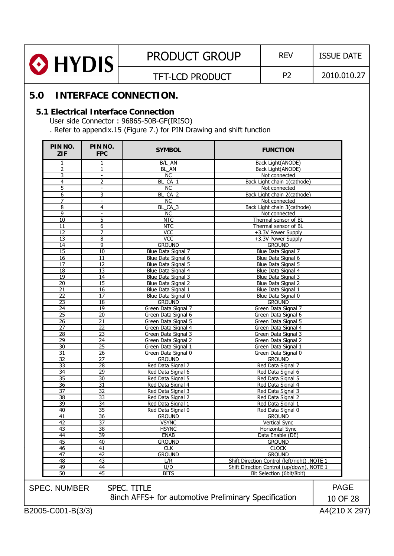| HYDIS | <b>PRODUCT GROUP</b>   | <b>REV</b> | <b>ISSUE DATE</b> |
|-------|------------------------|------------|-------------------|
|       | <b>TFT-LCD PRODUCT</b> | Dʻ         | 2010.010.27       |

## **5.0 INTERFACE CONNECTION.**

#### **5.1 Electrical Interface Connection**

User side Connector : 9686S-50B-GF(IRISO)

. Refer to appendix.15 (Figure 7.) for PIN Drawing and shift function

| PIN NO.<br><b>ZIF</b> | PIN NO.<br><b>FPC</b>    | <b>SYMBOL</b>                                        | <b>FUNCTION</b>                               |             |
|-----------------------|--------------------------|------------------------------------------------------|-----------------------------------------------|-------------|
| 1                     | 1                        | B/L AN                                               | Back Light(ANODE)                             |             |
| 2                     | 1                        | BL AN                                                | Back Light(ANODE)                             |             |
| 3                     | $\overline{\phantom{a}}$ | NC                                                   | Not connected                                 |             |
| 4                     | $\overline{2}$           | BL CA 1                                              | Back Light chain 1(cathode)                   |             |
| 5                     | $\overline{\phantom{a}}$ | <b>NC</b>                                            | Not connected                                 |             |
| 6                     | 3                        | BL CA 2                                              | Back Light chain 2(cathode)                   |             |
| 7                     | $\overline{\phantom{a}}$ | NC.                                                  | Not connected                                 |             |
| 8                     | 4                        | BL_CA_3                                              | Back Light chain 3(cathode)                   |             |
| 9                     | $\overline{\phantom{a}}$ | <b>NC</b>                                            | Not connected                                 |             |
| 10                    | 5                        | <b>NTC</b>                                           | Thermal sensor of BL                          |             |
| 11                    | 6                        | <b>NTC</b>                                           | Thermal sensor of BL                          |             |
| 12                    | 7                        | <b>VCC</b>                                           | +3.3V Power Supply                            |             |
| 13                    | 8                        | <b>VCC</b>                                           | +3.3V Power Supply                            |             |
| 14                    | 9                        | <b>GROUND</b>                                        | <b>GROUND</b>                                 |             |
| 15                    | 10                       | Blue Data Signal 7                                   | Blue Data Signal 7                            |             |
| 16                    | 11                       | Blue Data Signal 6                                   | Blue Data Signal 6                            |             |
| 17                    | 12                       | Blue Data Signal 5                                   | Blue Data Signal 5                            |             |
| 18                    | 13                       | Blue Data Signal 4                                   | Blue Data Signal 4                            |             |
| 19                    | 14                       | Blue Data Signal 3                                   | Blue Data Signal 3                            |             |
| 20                    | 15                       | Blue Data Signal 2                                   | Blue Data Signal 2                            |             |
| 21                    | 16                       | Blue Data Signal 1                                   | Blue Data Signal 1                            |             |
| 22                    | 17                       | Blue Data Signal 0                                   | Blue Data Signal 0                            |             |
| 23                    | 18                       | <b>GROUND</b>                                        | <b>GROUND</b>                                 |             |
| 24                    | 19                       | Green Data Signal 7                                  | Green Data Signal 7                           |             |
| 25                    | 20                       | Green Data Signal 6                                  | Green Data Signal 6                           |             |
| 26                    | 21                       | Green Data Signal 5                                  | Green Data Signal 5                           |             |
| 27                    | 22                       | Green Data Signal 4                                  | Green Data Signal 4                           |             |
| 28                    | 23                       | Green Data Signal 3                                  | Green Data Signal 3                           |             |
| 29                    | 24                       | Green Data Signal 2                                  | Green Data Signal 2                           |             |
| 30                    | 25                       | Green Data Signal 1                                  | Green Data Signal 1                           |             |
| 31                    | 26                       | Green Data Signal 0                                  | Green Data Signal 0                           |             |
| 32                    | 27                       | <b>GROUND</b>                                        | <b>GROUND</b>                                 |             |
| 33                    | 28                       | Red Data Signal 7                                    | Red Data Signal 7                             |             |
| 34                    | 29                       | Red Data Signal 6                                    | Red Data Signal 6                             |             |
| $\overline{35}$       | 30                       | Red Data Signal 5                                    | Red Data Signal 5                             |             |
| 36                    | 31                       | Red Data Signal 4                                    | Red Data Signal 4                             |             |
| 37                    | 32                       | Red Data Signal 3                                    | Red Data Signal 3                             |             |
| 38                    | 33                       | Red Data Signal 2                                    | Red Data Signal 2                             |             |
| 39                    | 34                       | Red Data Signal 1                                    | Red Data Signal 1                             |             |
| 40                    | 35                       | Red Data Signal 0                                    | Red Data Signal 0                             |             |
| 41                    | 36                       | <b>GROUND</b>                                        | <b>GROUND</b>                                 |             |
| 42                    | 37                       | <b>VSYNC</b>                                         | Vertical Sync                                 |             |
| 43                    | 38                       | <b>HSYNC</b>                                         | Horizontal Sync                               |             |
| 44                    | 39                       | <b>FNAB</b>                                          | Data Enable (DE)                              |             |
| 45                    | 40                       | <b>GROUND</b>                                        |                                               |             |
| 46                    | 41                       | <b>CLK</b>                                           | <b>GROUND</b><br><b>CLOCK</b>                 |             |
| 47                    | 42                       | <b>GROUND</b>                                        | <b>GROUND</b>                                 |             |
| 48                    | 43                       | L/R                                                  | Shift Direction Control (left/right) , NOTE 1 |             |
| 49                    | 44                       | U/D                                                  | Shift Direction Control (up/down), NOTE 1     |             |
| 50                    | 45                       | <b>BITS</b>                                          | Bit Selection (6bit/8bit)                     |             |
|                       |                          |                                                      |                                               |             |
|                       |                          |                                                      |                                               | <b>PAGE</b> |
| <b>SPEC. NUMBER</b>   |                          | <b>SPEC. TITLE</b>                                   |                                               |             |
|                       |                          | 8inch AFFS+ for automotive Preliminary Specification |                                               | 10 OF 28    |
|                       |                          |                                                      |                                               |             |
| B2005-C001-B(3/3)     |                          |                                                      |                                               | A4(210 X 29 |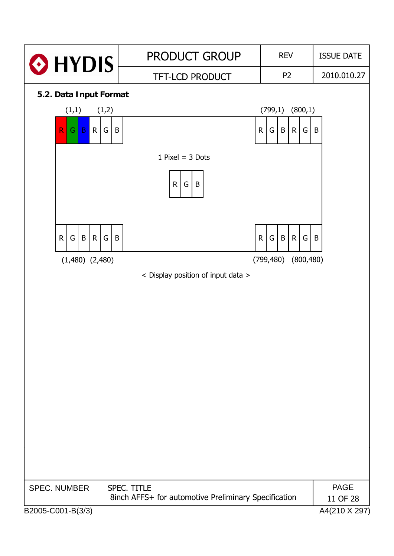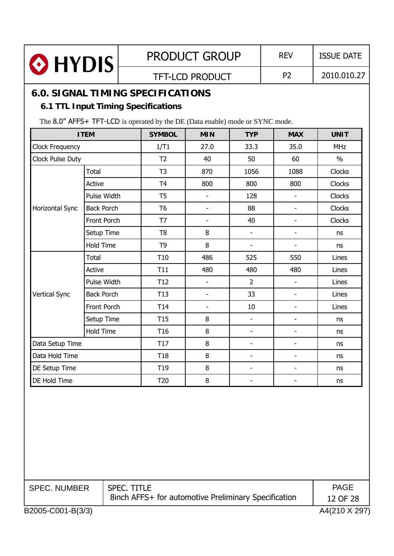| HYDIS                                    |                                                                               |                 | <b>PRODUCT GROUP</b>     |                          | <b>REV</b>               | <b>ISSUE DATE</b> |  |
|------------------------------------------|-------------------------------------------------------------------------------|-----------------|--------------------------|--------------------------|--------------------------|-------------------|--|
|                                          |                                                                               |                 | <b>TFT-LCD PRODUCT</b>   |                          | P <sub>2</sub>           | 2010.010.27       |  |
| <b>6.0. SIGNAL TIMING SPECIFICATIONS</b> |                                                                               |                 |                          |                          |                          |                   |  |
|                                          | <b>6.1 TTL Input Timing Specifications</b>                                    |                 |                          |                          |                          |                   |  |
|                                          | The 8.0" AFFS+ TFT-LCD is operated by the DE (Data enable) mode or SYNC mode. |                 |                          |                          |                          |                   |  |
|                                          | <b>ITEM</b>                                                                   | <b>SYMBOL</b>   | <b>MIN</b>               | <b>TYP</b>               | <b>MAX</b>               | <b>UNIT</b>       |  |
| <b>Clock Frequency</b>                   |                                                                               | 1/T1            | 27.0                     | 33.3                     | 35.0                     | <b>MHz</b>        |  |
| Clock Pulse Duty                         |                                                                               | T <sub>2</sub>  | 40                       | 50                       | 60                       | $\%$              |  |
|                                          | <b>Total</b>                                                                  | T <sub>3</sub>  | 870                      | 1056                     | 1088                     | Clocks            |  |
|                                          | Active                                                                        | T <sub>4</sub>  | 800                      | 800                      | 800                      | <b>Clocks</b>     |  |
|                                          | Pulse Width                                                                   | T <sub>5</sub>  | $\overline{a}$           | 128                      | $\blacksquare$           | Clocks            |  |
| Horizontal Sync                          | <b>Back Porch</b>                                                             | T <sub>6</sub>  | $\overline{a}$           | 88                       | ÷.                       | Clocks            |  |
|                                          | Front Porch                                                                   | T7              | $\overline{\phantom{0}}$ | 40                       | -                        | <b>Clocks</b>     |  |
|                                          | Setup Time                                                                    | T <sub>8</sub>  | 8                        | $\overline{\phantom{a}}$ | -                        | ns                |  |
|                                          | <b>Hold Time</b>                                                              | T <sub>9</sub>  | 8                        | $\overline{\phantom{a}}$ | -                        | ns                |  |
|                                          | Total                                                                         | T <sub>10</sub> | 486                      | 525                      | 550                      | Lines             |  |
|                                          | Active                                                                        | <b>T11</b>      | 480                      | 480                      | 480                      | Lines             |  |
|                                          | Pulse Width                                                                   | T <sub>12</sub> | $\overline{\phantom{a}}$ | $\overline{2}$           | $\overline{\phantom{a}}$ | Lines             |  |
| <b>Vertical Sync</b>                     | <b>Back Porch</b>                                                             | T <sub>13</sub> | $\frac{1}{2}$            | 33                       | $\overline{\phantom{a}}$ | Lines             |  |
|                                          | Front Porch                                                                   | T14             | $\overline{\phantom{a}}$ | 10                       | $\overline{\phantom{0}}$ | Lines             |  |
|                                          | Setup Time                                                                    | T <sub>15</sub> | 8                        | $\overline{\phantom{a}}$ | $\overline{\phantom{0}}$ | ns                |  |
|                                          | <b>Hold Time</b>                                                              | T <sub>16</sub> | 8                        | $\overline{\phantom{a}}$ | -                        | ns                |  |
| Data Setup Time                          |                                                                               | T <sub>17</sub> | 8                        |                          |                          | ns                |  |
| Data Hold Time                           |                                                                               | T <sub>18</sub> | 8                        |                          |                          | ns                |  |
| DE Setup Time                            |                                                                               | T <sub>19</sub> | 8                        |                          |                          | ns                |  |
| DE Hold Time                             |                                                                               | T20             | 8                        |                          |                          | ns                |  |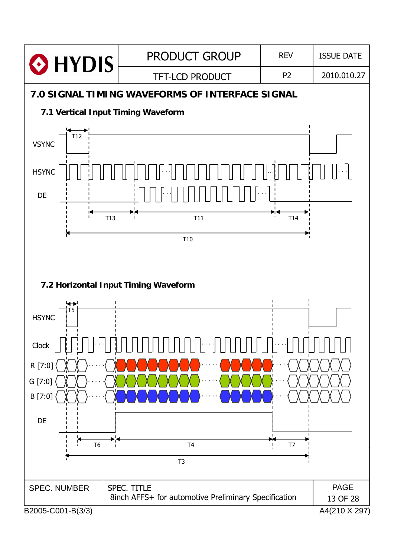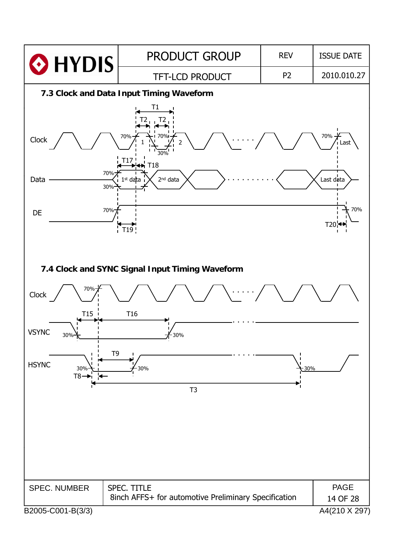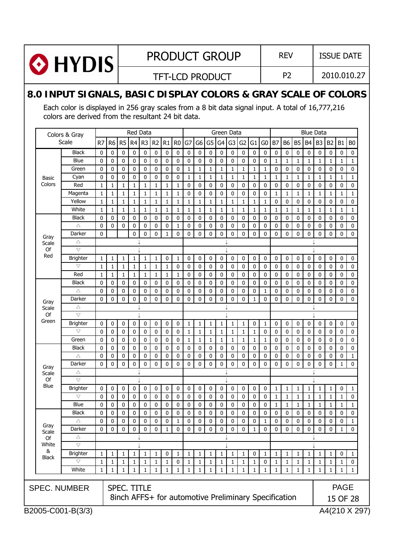|                                                                                                                                                        | HYDIS                                                          |                              |                              |                              |                              |                              |                   | <b>PRODUCT GROUP</b> |                              |                              |                |              |                              |                              |                              |                                                      |                              |                   | <b>REV</b>                   |                              |                              |                              |                              |                   | <b>ISSUE DATE</b>            |  |
|--------------------------------------------------------------------------------------------------------------------------------------------------------|----------------------------------------------------------------|------------------------------|------------------------------|------------------------------|------------------------------|------------------------------|-------------------|----------------------|------------------------------|------------------------------|----------------|--------------|------------------------------|------------------------------|------------------------------|------------------------------------------------------|------------------------------|-------------------|------------------------------|------------------------------|------------------------------|------------------------------|------------------------------|-------------------|------------------------------|--|
|                                                                                                                                                        |                                                                |                              |                              |                              | <b>TFT-LCD PRODUCT</b>       |                              |                   |                      |                              |                              |                |              |                              | P <sub>2</sub>               |                              |                                                      |                              |                   |                              | 2010.010.27                  |                              |                              |                              |                   |                              |  |
|                                                                                                                                                        | 8.0 INPUT SIGNALS, BASIC DISPLAY COLORS & GRAY SCALE OF COLORS |                              |                              |                              |                              |                              |                   |                      |                              |                              |                |              |                              |                              |                              |                                                      |                              |                   |                              |                              |                              |                              |                              |                   |                              |  |
|                                                                                                                                                        |                                                                |                              |                              |                              |                              |                              |                   |                      |                              |                              |                |              |                              |                              |                              |                                                      |                              |                   |                              |                              |                              |                              |                              |                   |                              |  |
| Each color is displayed in 256 gray scales from a 8 bit data signal input. A total of 16,777,216<br>colors are derived from the resultant 24 bit data. |                                                                |                              |                              |                              |                              |                              |                   |                      |                              |                              |                |              |                              |                              |                              |                                                      |                              |                   |                              |                              |                              |                              |                              |                   |                              |  |
|                                                                                                                                                        | Colors & Gray                                                  |                              |                              |                              |                              | Red Data                     |                   |                      |                              |                              |                |              |                              | Green Data                   |                              |                                                      |                              |                   |                              |                              |                              | <b>Blue Data</b>             |                              |                   |                              |  |
|                                                                                                                                                        | Scale                                                          | R7                           |                              | R6 R5                        | R <sub>4</sub>               | $R3$ $R2$                    |                   | R1                   | RO                           | G7                           | G <sub>6</sub> |              | $G5$ $G4$                    | G3                           |                              | $G2$ $G1$                                            | G <sub>0</sub>               | B7                | <b>B6</b>                    | $BS$ B4                      |                              | B <sub>3</sub>               | <b>B2</b>                    | B <sub>1</sub>    | B <sub>0</sub>               |  |
|                                                                                                                                                        | <b>Black</b>                                                   | $\mathbf{0}$                 | 0                            | 0                            | 0                            | 0                            | $\mathbf 0$       | 0                    | $\mathbf{0}$                 | $\mathbf 0$                  | 0              | 0            | $\mathbf{0}$                 | 0                            | $\mathbf 0$                  | $\mathbf{0}$                                         | 0                            | 0                 | 0                            | $\mathbf{0}$                 | $\mathbf 0$                  | 0                            | $\mathbf{0}$                 | 0                 | 0                            |  |
|                                                                                                                                                        | Blue                                                           | $\Omega$                     | $\mathbf{0}$                 | $\mathbf{0}$                 | $\mathbf{0}$                 | $\mathbf{0}$                 | $\mathbf{0}$      | $\Omega$             | $\mathbf{0}$                 | 0                            | $\mathbf{0}$   | $\mathbf{0}$ | $\mathbf{0}$                 | $\mathbf{0}$                 | $\Omega$                     | 0                                                    | $\mathbf{0}$                 | 1                 | $\mathbf{1}$                 | $\mathbf{1}$                 | $\mathbf{1}$                 | $\mathbf{1}$                 | $\mathbf{1}$                 | $\mathbf{1}$      | $\mathbf{1}$                 |  |
|                                                                                                                                                        | Green                                                          | $\Omega$                     | $\mathbf{0}$                 | $\mathbf{0}$                 | $\mathbf{0}$                 | $\mathbf{0}$                 | $\mathbf{0}$      | $\mathbf{0}$         | $\mathbf{0}$                 | $\mathbf{1}$                 | $\mathbf{1}$   | 1            | $\mathbf{1}$                 | $\mathbf{1}$                 | $\mathbf{1}$                 | $\mathbf{1}$                                         | $\mathbf{1}$                 | $\mathbf{0}$      | $\mathbf{0}$                 | $\mathbf{0}$                 | $\mathbf{0}$                 | $\mathbf{0}$                 | $\mathbf{0}$                 | $\mathbf{0}$      | $\mathbf{0}$                 |  |
| Basic                                                                                                                                                  | Cyan                                                           | $\mathbf{0}$                 | $\Omega$                     | $\mathbf{0}$                 | $\mathbf{0}$                 | $\mathbf{0}$                 | $\mathbf{0}$      | $\mathbf{0}$         | $\Omega$                     | $\mathbf{1}$                 | $\mathbf{1}$   | $\mathbf{1}$ | $\mathbf{1}$                 | $\mathbf{1}$                 | $\mathbf{1}$                 | $\mathbf{1}$                                         | $\mathbf{1}$                 | $\mathbf{1}$      | $\mathbf{1}$                 | $\mathbf{1}$                 | $\mathbf{1}$                 | $\mathbf{1}$                 | $\mathbf{1}$                 | $\mathbf{1}$      | $\mathbf{1}$                 |  |
| Colors                                                                                                                                                 | Red                                                            | $\mathbf{1}$                 | $\mathbf{1}$                 | $\mathbf{1}$                 | $\mathbf{1}$                 | $\mathbf{1}$                 | $\mathbf{1}$      | 1                    | $\mathbf{1}$                 | $\mathbf{0}$                 | $\mathbf{0}$   | $\mathbf{0}$ | $\mathbf{0}$                 | $\mathbf{0}$                 | $\mathbf{0}$                 | $\Omega$                                             | $\mathbf{0}$                 | $\mathbf{0}$      | $\Omega$                     | $\Omega$                     | $\Omega$                     | $\mathbf{0}$                 | $\mathbf{0}$                 | $\mathbf{0}$      | $\mathbf{0}$                 |  |
|                                                                                                                                                        | Magenta                                                        | $\mathbf{1}$                 | $\mathbf{1}$                 | $\mathbf{1}$                 | $\mathbf{1}$                 | $\mathbf{1}$                 | $\mathbf{1}$      | 1                    | $\mathbf{1}$                 | $\Omega$                     | 0              | $\mathbf{0}$ | $\mathbf{0}$                 | 0                            | $\mathbf{0}$                 | $\mathbf{0}$                                         | 0                            | 1                 | $\mathbf{1}$                 | $\mathbf{1}$                 | 1                            | $\mathbf{1}$                 | 1                            | 1                 | $\mathbf{1}$                 |  |
|                                                                                                                                                        | Yellow<br>White                                                | $\mathbf{1}$<br>$\mathbf{1}$ | $\mathbf{1}$<br>$\mathbf{1}$ | $\mathbf{1}$<br>$\mathbf{1}$ | $\mathbf{1}$<br>$\mathbf{1}$ | $\mathbf{1}$<br>$\mathbf{1}$ | $\mathbf{1}$<br>1 | 1<br>1               | $\mathbf{1}$<br>$\mathbf{1}$ | $\mathbf{1}$<br>$\mathbf{1}$ | 1<br>1         | 1<br>1       | $\mathbf{1}$<br>$\mathbf{1}$ | $\mathbf{1}$<br>$\mathbf{1}$ | $\mathbf{1}$<br>$\mathbf{1}$ | $\mathbf{1}$<br>$\mathbf{1}$                         | $\mathbf{1}$<br>$\mathbf{1}$ | $\mathbf{0}$<br>1 | $\mathbf{0}$<br>$\mathbf{1}$ | $\mathbf{0}$<br>$\mathbf{1}$ | $\mathbf{0}$<br>$\mathbf{1}$ | $\mathbf{0}$<br>$\mathbf{1}$ | $\mathbf{0}$<br>$\mathbf{1}$ | $\mathbf{0}$<br>1 | $\mathbf{0}$<br>$\mathbf{1}$ |  |
|                                                                                                                                                        | <b>Black</b>                                                   | $\mathbf{0}$                 | $\Omega$                     | $\Omega$                     | $\mathbf{0}$                 | $\mathbf{0}$                 | $\mathbf{0}$      | $\mathbf{0}$         | $\mathbf{0}$                 | $\Omega$                     | 0              | $\mathbf{0}$ | $\mathbf{0}$                 | $\mathbf{0}$                 | $\mathbf{0}$                 | $\mathbf{0}$                                         | 0                            | $\mathbf{0}$      | $\mathbf{0}$                 | $\mathbf{0}$                 | $\mathbf{0}$                 | $\mathbf{0}$                 | $\mathbf{0}$                 | $\mathbf{0}$      | $\mathbf{0}$                 |  |
|                                                                                                                                                        | Δ                                                              | $\Omega$                     | 0                            | $\mathbf{0}$                 | $\mathbf{0}$                 | $\mathbf{0}$                 | $\mathbf{0}$      | $\mathbf{0}$         | $\mathbf{1}$                 | 0                            | $\mathbf 0$    | $\mathbf{0}$ | $\mathbf{0}$                 | $\mathbf{0}$                 | $\mathbf{0}$                 | $\mathbf{0}$                                         | $\mathbf{0}$                 | $\mathbf{0}$      | $\mathbf{0}$                 | $\mathbf{0}$                 | $\mathbf{0}$                 | $\mathbf{0}$                 | $\mathbf{0}$                 | $\mathbf{0}$      | $\mathbf{0}$                 |  |
|                                                                                                                                                        | Darker                                                         | $\Omega$                     |                              |                              | $\Omega$                     | $\mathbf{0}$                 | $\Omega$          | $\mathbf{1}$         | $\Omega$                     | $\Omega$                     | $\mathbf{0}$   | $\Omega$     | $\Omega$                     | $\mathbf{0}$                 | $\Omega$                     | 0                                                    | $\mathbf{0}$                 | $\mathbf{0}$      | $\mathbf{0}$                 | $\mathbf{0}$                 | 0                            | $\Omega$                     | $\mathbf{0}$                 | $\mathbf{0}$      | $\mathbf{0}$                 |  |
| Gray<br>Scale                                                                                                                                          | Δ                                                              |                              |                              |                              |                              |                              |                   |                      |                              |                              |                |              |                              |                              |                              |                                                      |                              |                   |                              |                              |                              |                              |                              |                   |                              |  |
| Of                                                                                                                                                     | $\bigtriangledown$                                             |                              |                              |                              |                              |                              |                   |                      |                              |                              |                |              |                              |                              |                              |                                                      |                              |                   |                              |                              |                              |                              |                              |                   |                              |  |
| Red                                                                                                                                                    | <b>Brighter</b>                                                | $\mathbf{1}$                 | 1                            | $\mathbf{1}$                 | $\mathbf{1}$                 | $\mathbf{1}$                 | $\mathbf{1}$      | 0                    | $\mathbf{1}$                 | 0                            | 0              | $\mathbf{0}$ | 0                            | 0                            | 0                            | 0                                                    | 0                            | 0                 | 0                            | 0                            | 0                            | 0                            | 0                            | 0                 | 0                            |  |
|                                                                                                                                                        | $\triangledown$                                                | $\mathbf{1}$                 | $\mathbf{1}$                 | $\mathbf{1}$                 | $\mathbf{1}$                 | $\mathbf{1}$                 | $\mathbf{1}$      | 1                    | 0                            | $\Omega$                     | 0              | $\mathbf{0}$ | $\Omega$                     | $\mathbf{0}$                 | $\mathbf{0}$                 | 0                                                    | 0                            | $\mathbf{0}$      | $\mathbf{0}$                 | $\mathbf{0}$                 | $\mathbf 0$                  | $\mathbf{0}$                 | $\mathbf{0}$                 | $\mathbf 0$       | 0                            |  |
|                                                                                                                                                        | Red                                                            | $\mathbf{1}$                 | $\mathbf{1}$                 | $\mathbf{1}$                 | $\mathbf{1}$                 | $\mathbf{1}$                 | $\mathbf{1}$      | 1                    | $\mathbf{1}$                 | 0                            | 0              | $\mathbf{0}$ | $\mathbf{0}$                 | 0                            | $\mathbf{0}$                 | $\mathbf{0}$                                         | 0                            | 0                 | $\mathbf{0}$                 | $\mathbf{0}$                 | $\mathbf 0$                  | $\mathbf{0}$                 | $\mathbf{0}$                 | 0                 | $\mathbf 0$                  |  |
|                                                                                                                                                        | <b>Black</b>                                                   | $\mathbf{0}$                 | $\mathbf{0}$                 | $\mathbf{0}$                 | $\mathbf{0}$                 | $\mathbf{0}$                 | $\mathbf{0}$      | $\mathbf{0}$         | $\mathbf{0}$                 | $\Omega$                     | $\mathbf{0}$   | $\mathbf{0}$ | $\mathbf{0}$                 | $\mathbf{0}$                 | $\mathbf{0}$                 | $\mathbf{0}$                                         | 0                            | $\mathbf{0}$      | $\Omega$                     | $\mathbf{0}$                 | $\mathbf{0}$                 | $\mathbf{0}$                 | $\mathbf{0}$                 | $\mathbf{0}$      | $\mathbf{0}$                 |  |
|                                                                                                                                                        | Δ                                                              | $\mathbf{0}$                 | $\Omega$                     | $\mathbf{0}$                 | 0                            | $\mathbf{0}$                 | $\mathbf{0}$      | $\mathbf{0}$         | $\mathbf{0}$                 | 0                            | $\mathbf{0}$   | $\mathbf{0}$ | $\mathbf{0}$                 | 0                            | $\mathbf{0}$                 | $\mathbf{0}$                                         | $1\,$                        | 0                 | $\mathbf{0}$                 | 0                            | $\mathbf 0$                  | $\mathbf{0}$                 | $\mathbf{0}$                 | 0                 | 0                            |  |
| Gray                                                                                                                                                   | Darker<br>Δ                                                    | $\Omega$                     | $\Omega$                     | $\mathbf{0}$                 | $\mathbf{0}$                 | $\mathbf{0}$                 | $\Omega$          | $\Omega$             | $\Omega$                     | $\Omega$                     | $\mathbf{0}$   | $\mathbf{0}$ | $\Omega$                     | $\mathbf{0}$                 | $\Omega$                     | $\mathbf{1}$                                         | $\mathbf{0}$                 | $\mathbf{0}$      | $\Omega$                     | $\Omega$                     | $\mathbf{0}$                 | $\Omega$                     | $\Omega$                     | $\Omega$          | $\Omega$                     |  |
| Scale<br>Of                                                                                                                                            | $\bigtriangledown$                                             |                              |                              |                              |                              |                              |                   |                      |                              |                              |                |              |                              |                              |                              |                                                      |                              |                   |                              |                              |                              |                              |                              |                   |                              |  |
| Green                                                                                                                                                  | <b>Brighter</b>                                                | 0                            | 0                            | 0                            | 0                            | 0                            | 0                 | 0                    | 0                            | $\mathbf{1}$                 | 1              | 1            | 1                            | 1                            | 1                            | 0                                                    | 1                            | 0                 | 0                            | 0                            | 0                            | 0                            | 0                            | 0                 | 0                            |  |
|                                                                                                                                                        | $\triangledown$                                                | $\mathbf 0$                  | 0                            | 0                            | $\mathbf 0$                  | $\mathbf 0$                  | $\pmb{0}$         | $\mathbf 0$          | $\mathbf 0$                  | $\mathbf{1}$                 | 1              | $\mathbf{1}$ | $\mathbf{1}$                 | $\mathbf{1}$                 | $\mathbf{1}$                 | $\mathbf{1}$                                         | 0                            | $\mathbf 0$       | $\mathbf 0$                  | $\mathbf 0$                  | $\mathbf 0$                  | 0                            | 0                            | 0                 | $\mathbf 0$                  |  |
|                                                                                                                                                        | Green                                                          | 0                            | 0                            | $\pmb{0}$                    | $\pmb{0}$                    | 0                            | $\pmb{0}$         | $\pmb{0}$            | 0                            | $\mathbf 1$                  | $\mathbf 1$    | $\mathbf 1$  | $\mathbf{1}$                 | $\mathbf 1$                  | $\mathbf 1$                  | $\mathbf 1$                                          | 1                            | 0                 | 0                            | 0                            | 0                            | 0                            | 0                            | U                 | 0                            |  |
|                                                                                                                                                        | <b>Black</b>                                                   | 0                            | 0                            | 0                            | 0                            | 0                            | 0                 | 0                    | 0                            | 0                            | 0              | 0            | $\mathbf{0}$                 | 0                            | 0                            | 0                                                    | 0                            | 0                 | 0                            | 0                            | 0                            | 0                            | 0                            | 0                 | 0                            |  |
|                                                                                                                                                        | Δ                                                              | 0                            | 0                            | 0                            | 0                            | 0                            | 0                 | 0                    | 0                            | 0                            | 0              | 0            | 0                            | 0                            | $\mathbf 0$                  | 0                                                    | 0                            | 0                 | 0                            | 0                            | 0                            | $\mathbf 0$                  | 0                            | 0                 | 1                            |  |
| Gray                                                                                                                                                   | Darker                                                         | 0                            | 0                            | 0                            | 0                            | 0                            | 0                 | 0                    | 0                            | 0                            | 0              | 0            | 0                            | 0                            | 0                            | $\mathbf 0$                                          | 0                            | 0                 | 0                            | 0                            | 0                            | $\mathbf 0$                  | 0                            | 1                 | 0                            |  |
| Scale                                                                                                                                                  | Δ                                                              |                              |                              |                              |                              |                              |                   |                      |                              |                              |                |              |                              |                              |                              |                                                      |                              |                   |                              |                              |                              |                              |                              |                   |                              |  |
| Of<br>Blue                                                                                                                                             | $\bigtriangledown$<br><b>Brighter</b>                          |                              |                              |                              |                              |                              |                   |                      |                              |                              |                |              |                              |                              |                              |                                                      |                              |                   |                              |                              |                              |                              |                              |                   |                              |  |
|                                                                                                                                                        | $\bigtriangledown$                                             | 0<br>$\mathbf{0}$            | 0<br>0                       | 0<br>0                       | 0<br>0                       | 0<br>0                       | 0<br>0            | 0<br>0               | 0<br>0                       | 0<br>0                       | 0<br>0         | 0<br>0       | 0<br>0                       | 0<br>0                       | 0<br>0                       | 0<br>0                                               | 0<br>0                       | 1<br>1            | 1<br>$\mathbf{1}$            | 1<br>1                       | 1<br>$\mathbf{1}$            | 1<br>$\mathbf{1}$            | 1<br>1                       | 0<br>1            | 1<br>0                       |  |
|                                                                                                                                                        | Blue                                                           | $\mathbf 0$                  | 0                            | 0                            | 0                            | 0                            | 0                 | 0                    | 0                            | 0                            | 0              | $\mathbf 0$  | 0                            | 0                            | 0                            | 0                                                    | 0                            | 1                 | 1                            | 1                            | 1                            | $\mathbf{1}$                 | 1                            | 1                 | 1                            |  |
|                                                                                                                                                        | <b>Black</b>                                                   | 0                            | 0                            | 0                            | 0                            | 0                            | 0                 | 0                    | 0                            | 0                            | 0              | $\mathbf 0$  | 0                            | 0                            | $\mathbf 0$                  | 0                                                    | 0                            | $\pmb{0}$         | 0                            | 0                            | $\mathbf 0$                  | 0                            | 0                            | $\mathbf 0$       | $\bf 0$                      |  |
|                                                                                                                                                        | Δ                                                              | $\mathbf 0$                  | 0                            | 0                            | 0                            | 0                            | 0                 | 0                    | 1                            | 0                            | 0              | $\mathbf 0$  | 0                            | 0                            | 0                            | 0                                                    | 1                            | 0                 | 0                            | 0                            | 0                            | 0                            | 0                            | $\mathbf 0$       | 1                            |  |
| Gray<br>Scale                                                                                                                                          | Darker                                                         | $\mathbf{0}$                 | 0                            | 0                            | 0                            | 0                            | $\mathbf{0}$      | 1                    | 0                            | 0                            | 0              | $\mathbf{0}$ | 0                            | 0                            | $\mathbf{0}$                 | $\mathbf{1}$                                         | 0                            | 0                 | $\mathbf{0}$                 | 0                            | 0                            | 0                            | 0                            | 1                 | $\mathbf 0$                  |  |
| Of                                                                                                                                                     | Δ                                                              |                              |                              |                              |                              |                              |                   |                      |                              |                              |                |              |                              |                              |                              |                                                      |                              |                   |                              |                              |                              |                              |                              |                   |                              |  |
| White                                                                                                                                                  | $\overline{\nabla}$                                            |                              |                              |                              |                              |                              |                   |                      |                              |                              |                |              |                              |                              |                              |                                                      |                              |                   |                              |                              |                              |                              |                              |                   |                              |  |
| &<br><b>Black</b>                                                                                                                                      | <b>Brighter</b>                                                | $\mathbf{1}$                 | $\mathbf{1}$                 | 1                            | 1                            | 1                            | 1                 | 0                    | $\mathbf{1}$                 | $\mathbf{1}$                 | 1              | 1            | $\mathbf{1}$                 | $\mathbf{1}$                 | 1                            | 0                                                    | 1                            | 1                 | $\mathbf{1}$                 | $\mathbf{1}$                 | 1                            | 1                            | 1                            | 0                 | 1                            |  |
|                                                                                                                                                        | $\bigtriangledown$                                             | $\mathbf{1}$                 | $\mathbf{1}$                 | 1                            | 1                            | $\mathbf{1}$                 | $\mathbf{1}$      | 1                    | 0                            | $\mathbf{1}$                 | 1              | 1            | $\mathbf{1}$                 | $\mathbf{1}$                 | 1                            | 1                                                    | 0                            | 1                 | $\mathbf{1}$                 | $\mathbf{1}$                 | 1                            | $\mathbf{1}$                 | 1                            | 1                 | $\bf 0$                      |  |
|                                                                                                                                                        | White                                                          | 1                            | $\mathbf{1}$                 | $\mathbf{1}$                 | $\mathbf{1}$                 | $\mathbf{1}$                 | $\mathbf{1}$      | 1                    | $\mathbf{1}$                 | $\mathbf{1}$                 | $\mathbf{1}$   | $\mathbf{1}$ | $\mathbf{1}$                 | $\mathbf{1}$                 | 1                            | $\mathbf{1}$                                         | 1                            | 1                 | $\mathbf{1}$                 | $\mathbf{1}$                 | $\mathbf{1}$                 | $\mathbf{1}$                 | 1                            | 1                 | $\mathbf{1}$                 |  |
|                                                                                                                                                        | <b>SPEC. NUMBER</b>                                            |                              |                              | <b>SPEC. TITLE</b>           |                              |                              |                   |                      |                              |                              |                |              |                              |                              |                              |                                                      |                              |                   |                              |                              |                              |                              |                              | <b>PAGE</b>       |                              |  |
|                                                                                                                                                        |                                                                |                              |                              |                              |                              |                              |                   |                      |                              |                              |                |              |                              |                              |                              | 8inch AFFS+ for automotive Preliminary Specification |                              |                   |                              |                              |                              |                              |                              |                   | 15 OF 28                     |  |
|                                                                                                                                                        |                                                                |                              |                              |                              |                              |                              |                   |                      |                              |                              |                |              |                              |                              |                              |                                                      |                              |                   |                              |                              |                              |                              |                              |                   |                              |  |
|                                                                                                                                                        | B2005-C001-B(3/3)                                              |                              |                              |                              |                              |                              |                   |                      |                              |                              |                |              |                              |                              |                              |                                                      |                              |                   |                              |                              |                              |                              |                              |                   | A4(210 X 297)                |  |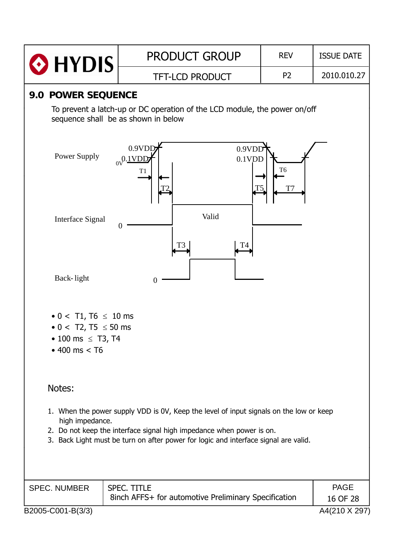| $\cdot$ HYDIS                                                                                          | <b>PRODUCT GROUP</b>                                                                                                                                                                                                                                  | <b>REV</b>           | <b>ISSUE DATE</b>       |
|--------------------------------------------------------------------------------------------------------|-------------------------------------------------------------------------------------------------------------------------------------------------------------------------------------------------------------------------------------------------------|----------------------|-------------------------|
|                                                                                                        | <b>TFT-LCD PRODUCT</b>                                                                                                                                                                                                                                | P <sub>2</sub>       | 2010.010.27             |
| <b>POWER SEQUENCE</b><br>9.0                                                                           | To prevent a latch-up or DC operation of the LCD module, the power on/off<br>sequence shall be as shown in below                                                                                                                                      |                      |                         |
| <b>Power Supply</b>                                                                                    | 0.9VDI<br>0.9VDD<br>$0.1$ VDD<br>$0\sqrt{0.1VDD}$<br>T <sub>1</sub>                                                                                                                                                                                   | T <sub>6</sub><br>T7 |                         |
| Interface Signal                                                                                       | Valid<br>0<br>T <sub>3</sub><br>T4                                                                                                                                                                                                                    |                      |                         |
| Back-light                                                                                             | $\overline{0}$                                                                                                                                                                                                                                        |                      |                         |
| • 0 < T1, T6 $\leq$ 10 ms<br>• 0 < T2, T5 $\le$ 50 ms<br>100 ms $\leq$ T3, T4<br>$\cdot$ 400 ms $<$ T6 |                                                                                                                                                                                                                                                       |                      |                         |
| Notes:<br>high impedance.                                                                              | 1. When the power supply VDD is 0V, Keep the level of input signals on the low or keep<br>2. Do not keep the interface signal high impedance when power is on.<br>3. Back Light must be turn on after power for logic and interface signal are valid. |                      |                         |
| <b>SPEC. NUMBER</b>                                                                                    | <b>SPEC. TITLE</b><br>8inch AFFS+ for automotive Preliminary Specification                                                                                                                                                                            |                      | <b>PAGE</b><br>16 OF 28 |
| B2005-C001-B(3/3)                                                                                      |                                                                                                                                                                                                                                                       |                      | A4(210 X 297)           |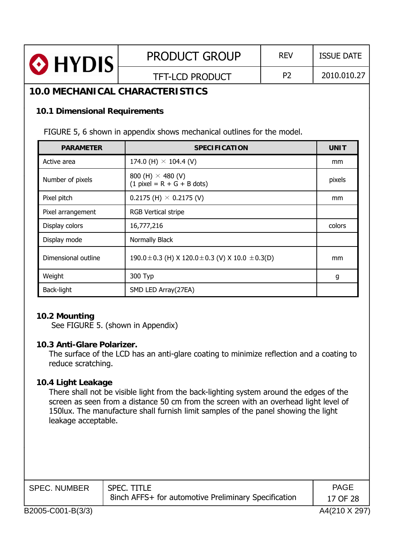| HYDIS                                                                            | <b>TFT-LCD PRODUCT</b>                                   | P <sub>2</sub>                         | 2010.010.27 |  |  |  |  |  |  |
|----------------------------------------------------------------------------------|----------------------------------------------------------|----------------------------------------|-------------|--|--|--|--|--|--|
|                                                                                  |                                                          |                                        |             |  |  |  |  |  |  |
|                                                                                  |                                                          | <b>10.0 MECHANICAL CHARACTERISTICS</b> |             |  |  |  |  |  |  |
|                                                                                  | <b>10.1 Dimensional Requirements</b>                     |                                        |             |  |  |  |  |  |  |
| FIGURE 5, 6 shown in appendix shows mechanical outlines for the model.           |                                                          |                                        |             |  |  |  |  |  |  |
| <b>PARAMETER</b>                                                                 | <b>SPECIFICATION</b>                                     |                                        | <b>UNIT</b> |  |  |  |  |  |  |
| Active area                                                                      | 174.0 (H) $\times$ 104.4 (V)                             |                                        | mm          |  |  |  |  |  |  |
| Number of pixels                                                                 | 800 (H) $\times$ 480 (V)<br>$(1$ pixel = R + G + B dots) |                                        | pixels      |  |  |  |  |  |  |
| Pixel pitch                                                                      | 0.2175 (H) $\times$ 0.2175 (V)                           | mm                                     |             |  |  |  |  |  |  |
| Pixel arrangement                                                                | <b>RGB Vertical stripe</b>                               |                                        |             |  |  |  |  |  |  |
| Display colors                                                                   | 16,777,216                                               | colors                                 |             |  |  |  |  |  |  |
| Display mode                                                                     | Normally Black                                           |                                        |             |  |  |  |  |  |  |
| Dimensional outline                                                              | 190.0 ± 0.3 (H) X 120.0 ± 0.3 (V) X 10.0 ± 0.3(D)        |                                        | mm          |  |  |  |  |  |  |
| Weight                                                                           | 300 Typ                                                  |                                        | g           |  |  |  |  |  |  |
| Back-light                                                                       | SMD LED Array(27EA)                                      |                                        |             |  |  |  |  |  |  |
| 10.2 Mounting<br>See FIGURE 5. (shown in Appendix)<br>10.3 Anti-Glare Polarizer. |                                                          |                                        |             |  |  |  |  |  |  |

screen as seen from a distance 50 cm from the screen with an overhead light level of 150lux. The manufacture shall furnish limit samples of the panel showing the light leakage acceptable.

| <b>SPEC. NUMBER</b> | <b>SPEC. TITLE</b><br>8inch AFFS+ for automotive Preliminary Specification | <b>PAGE</b><br>17 OF 28 |
|---------------------|----------------------------------------------------------------------------|-------------------------|
| B2005-C001-B(3/3)   |                                                                            | A4(210 X 297)           |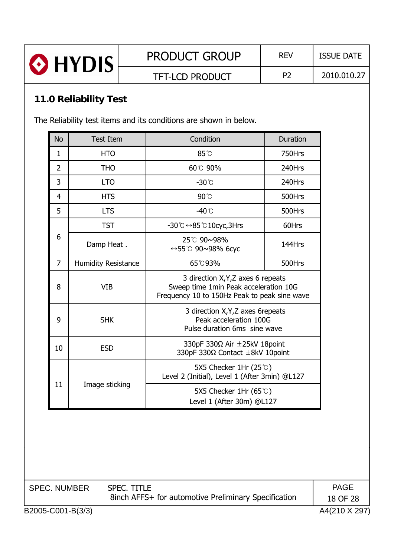| <b>No</b>                                                                                                                                      |  | <b>Test Item</b>           | Condition                                                                                 | Duration |             |  |  |
|------------------------------------------------------------------------------------------------------------------------------------------------|--|----------------------------|-------------------------------------------------------------------------------------------|----------|-------------|--|--|
| $\mathbf{1}$                                                                                                                                   |  | <b>HTO</b>                 | 85°C                                                                                      | 750Hrs   |             |  |  |
| $\overline{2}$                                                                                                                                 |  | <b>THO</b>                 | 60℃ 90%                                                                                   | 240Hrs   |             |  |  |
| 3                                                                                                                                              |  | <b>LTO</b>                 | $-30^{\circ}$ C                                                                           | 240Hrs   |             |  |  |
| 4                                                                                                                                              |  | <b>HTS</b>                 | 90°C                                                                                      | 500Hrs   |             |  |  |
| 5                                                                                                                                              |  | <b>LTS</b>                 | $-40^{\circ}$ C                                                                           | 500Hrs   |             |  |  |
|                                                                                                                                                |  | <b>TST</b>                 | -30 ℃ ↔ 85 ℃ 10 cyc, 3Hrs                                                                 | 60Hrs    |             |  |  |
| 6                                                                                                                                              |  | Damp Heat.                 | 25℃ 90~98%<br>→55°С 90~98% 6сус                                                           | 144Hrs   |             |  |  |
| $\overline{7}$                                                                                                                                 |  | <b>Humidity Resistance</b> | 65℃93%                                                                                    | 500Hrs   |             |  |  |
| 3 direction X, Y, Z axes 6 repeats<br>8<br><b>VIB</b><br>Sweep time 1min Peak acceleration 10G<br>Frequency 10 to 150Hz Peak to peak sine wave |  |                            |                                                                                           |          |             |  |  |
| 3 direction X, Y, Z axes 6 repeats<br>9<br>Peak acceleration 100G<br><b>SHK</b><br>Pulse duration 6ms sine wave                                |  |                            |                                                                                           |          |             |  |  |
| 10                                                                                                                                             |  | <b>ESD</b>                 | 330pF 330 $\Omega$ Air $\pm$ 25kV 18point<br>330pF 330 $\Omega$ Contact $\pm$ 8kV 10point |          |             |  |  |
|                                                                                                                                                |  |                            | 5X5 Checker 1Hr $(25^{\circ}$ C)<br>Level 2 (Initial), Level 1 (After 3min) @L127         |          |             |  |  |
| 11                                                                                                                                             |  | Image sticking             | 5X5 Checker 1Hr (65°C)<br>Level 1 (After 30m) @L127                                       |          |             |  |  |
|                                                                                                                                                |  |                            |                                                                                           |          |             |  |  |
| <b>SPEC. NUMBER</b><br><b>SPEC. TITLE</b>                                                                                                      |  |                            |                                                                                           |          | <b>PAGE</b> |  |  |

O HYDIS

PRODUCT GROUP | REV | ISSUE DATE

TFT-LCD PRODUCT | P2 | 2010.010.27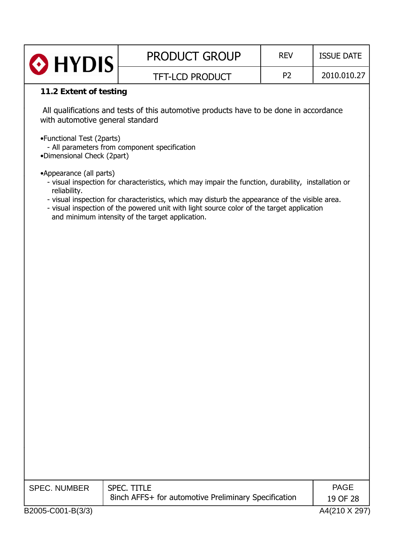| O HYDIS                                                 | <b>PRODUCT GROUP</b>                                                                                                                                                                                                                                                                                                                                   | <b>REV</b>     | <b>ISSUE DATE</b>       |
|---------------------------------------------------------|--------------------------------------------------------------------------------------------------------------------------------------------------------------------------------------------------------------------------------------------------------------------------------------------------------------------------------------------------------|----------------|-------------------------|
|                                                         | <b>TFT-LCD PRODUCT</b>                                                                                                                                                                                                                                                                                                                                 | P <sub>2</sub> | 2010.010.27             |
| 11.2 Extent of testing                                  |                                                                                                                                                                                                                                                                                                                                                        |                |                         |
| with automotive general standard                        | All qualifications and tests of this automotive products have to be done in accordance                                                                                                                                                                                                                                                                 |                |                         |
| •Functional Test (2parts)<br>•Dimensional Check (2part) | - All parameters from component specification                                                                                                                                                                                                                                                                                                          |                |                         |
| •Appearance (all parts)<br>reliability.                 | - visual inspection for characteristics, which may impair the function, durability, installation or<br>- visual inspection for characteristics, which may disturb the appearance of the visible area.<br>- visual inspection of the powered unit with light source color of the target application<br>and minimum intensity of the target application. |                |                         |
|                                                         |                                                                                                                                                                                                                                                                                                                                                        |                |                         |
|                                                         |                                                                                                                                                                                                                                                                                                                                                        |                |                         |
|                                                         |                                                                                                                                                                                                                                                                                                                                                        |                |                         |
|                                                         |                                                                                                                                                                                                                                                                                                                                                        |                |                         |
|                                                         |                                                                                                                                                                                                                                                                                                                                                        |                |                         |
|                                                         |                                                                                                                                                                                                                                                                                                                                                        |                |                         |
|                                                         |                                                                                                                                                                                                                                                                                                                                                        |                |                         |
|                                                         |                                                                                                                                                                                                                                                                                                                                                        |                |                         |
|                                                         |                                                                                                                                                                                                                                                                                                                                                        |                |                         |
|                                                         |                                                                                                                                                                                                                                                                                                                                                        |                |                         |
|                                                         |                                                                                                                                                                                                                                                                                                                                                        |                |                         |
|                                                         |                                                                                                                                                                                                                                                                                                                                                        |                |                         |
|                                                         |                                                                                                                                                                                                                                                                                                                                                        |                |                         |
| <b>SPEC. NUMBER</b>                                     | SPEC. TITLE<br>8inch AFFS+ for automotive Preliminary Specification                                                                                                                                                                                                                                                                                    |                | <b>PAGE</b><br>19 OF 28 |
| B2005-C001-B(3/3)                                       |                                                                                                                                                                                                                                                                                                                                                        |                | A4(210 X 297)           |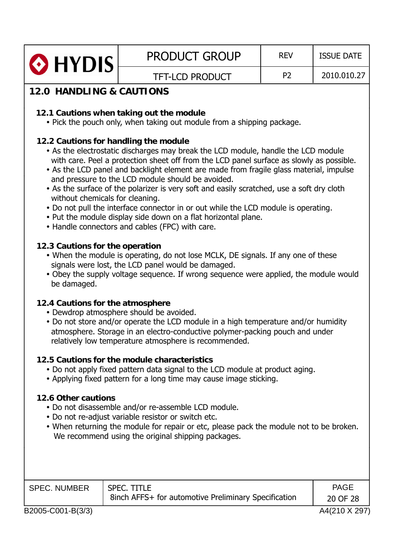| HYDIS                                                                                                                                                                                                                                                                                                                                                                                                                                                                                                                                                                                                                                                                                                            |  | <b>PRODUCT GROUP</b>                                                       | <b>REV</b>     | <b>ISSUE DATE</b>       |
|------------------------------------------------------------------------------------------------------------------------------------------------------------------------------------------------------------------------------------------------------------------------------------------------------------------------------------------------------------------------------------------------------------------------------------------------------------------------------------------------------------------------------------------------------------------------------------------------------------------------------------------------------------------------------------------------------------------|--|----------------------------------------------------------------------------|----------------|-------------------------|
|                                                                                                                                                                                                                                                                                                                                                                                                                                                                                                                                                                                                                                                                                                                  |  | <b>TFT-LCD PRODUCT</b>                                                     | P <sub>2</sub> | 2010.010.27             |
| <b>12.0 HANDLING &amp; CAUTIONS</b>                                                                                                                                                                                                                                                                                                                                                                                                                                                                                                                                                                                                                                                                              |  |                                                                            |                |                         |
| 12.1 Cautions when taking out the module<br>• Pick the pouch only, when taking out module from a shipping package.                                                                                                                                                                                                                                                                                                                                                                                                                                                                                                                                                                                               |  |                                                                            |                |                         |
| 12.2 Cautions for handling the module<br>• As the electrostatic discharges may break the LCD module, handle the LCD module<br>with care. Peel a protection sheet off from the LCD panel surface as slowly as possible.<br>• As the LCD panel and backlight element are made from fragile glass material, impulse<br>and pressure to the LCD module should be avoided.<br>• As the surface of the polarizer is very soft and easily scratched, use a soft dry cloth<br>without chemicals for cleaning.<br>• Do not pull the interface connector in or out while the LCD module is operating.<br>. Put the module display side down on a flat horizontal plane.<br>• Handle connectors and cables (FPC) with care. |  |                                                                            |                |                         |
| 12.3 Cautions for the operation<br>• When the module is operating, do not lose MCLK, DE signals. If any one of these<br>signals were lost, the LCD panel would be damaged.<br>• Obey the supply voltage sequence. If wrong sequence were applied, the module would<br>be damaged.                                                                                                                                                                                                                                                                                                                                                                                                                                |  |                                                                            |                |                         |
| 12.4 Cautions for the atmosphere<br>• Dewdrop atmosphere should be avoided.<br>• Do not store and/or operate the LCD module in a high temperature and/or humidity<br>atmosphere. Storage in an electro-conductive polymer-packing pouch and under<br>relatively low temperature atmosphere is recommended.                                                                                                                                                                                                                                                                                                                                                                                                       |  |                                                                            |                |                         |
| 12.5 Cautions for the module characteristics<br>• Do not apply fixed pattern data signal to the LCD module at product aging.<br>• Applying fixed pattern for a long time may cause image sticking.                                                                                                                                                                                                                                                                                                                                                                                                                                                                                                               |  |                                                                            |                |                         |
| <b>12.6 Other cautions</b><br>. Do not disassemble and/or re-assemble LCD module.<br>. Do not re-adjust variable resistor or switch etc.<br>• When returning the module for repair or etc, please pack the module not to be broken.<br>We recommend using the original shipping packages.                                                                                                                                                                                                                                                                                                                                                                                                                        |  |                                                                            |                |                         |
| <b>SPEC. NUMBER</b>                                                                                                                                                                                                                                                                                                                                                                                                                                                                                                                                                                                                                                                                                              |  | <b>SPEC. TITLE</b><br>8inch AFFS+ for automotive Preliminary Specification |                | <b>PAGE</b><br>20 OF 28 |
| B2005-C001-B(3/3)                                                                                                                                                                                                                                                                                                                                                                                                                                                                                                                                                                                                                                                                                                |  |                                                                            |                | A4(210 X 297)           |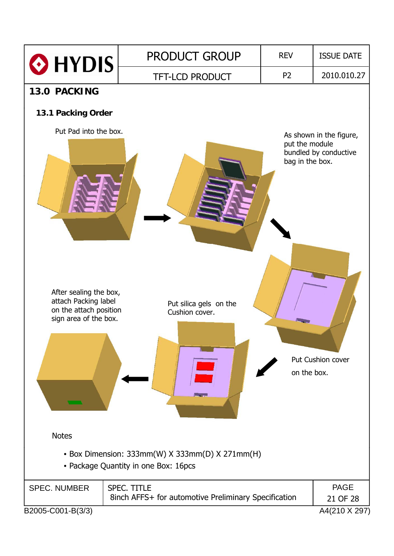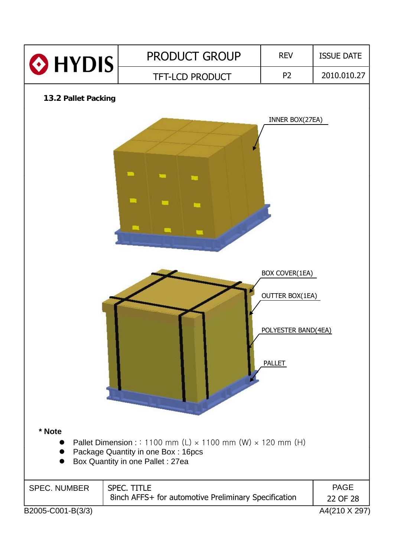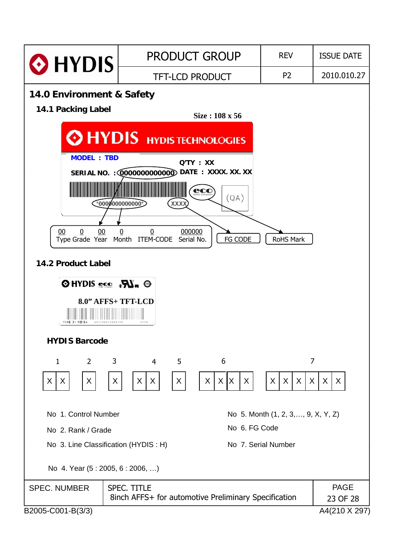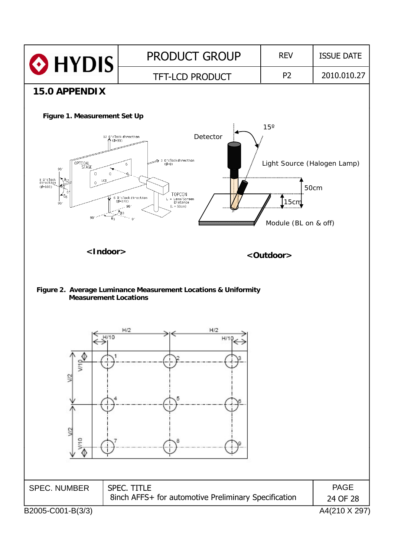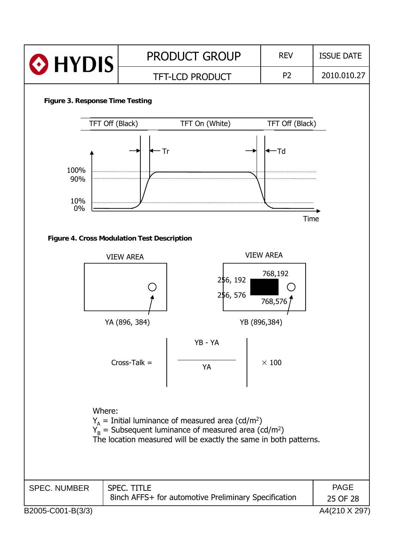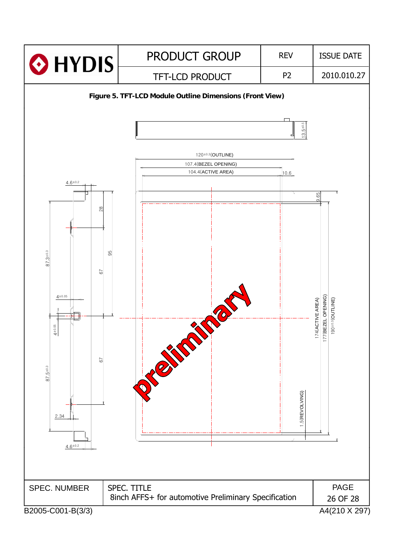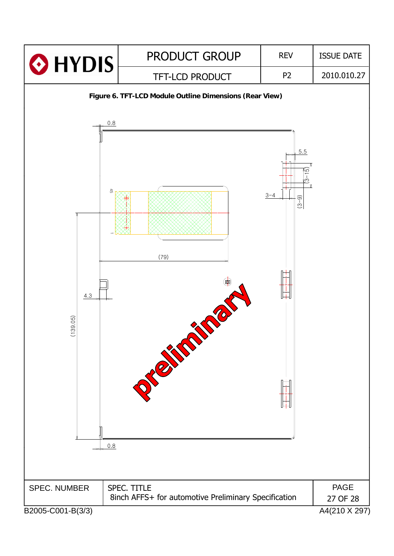